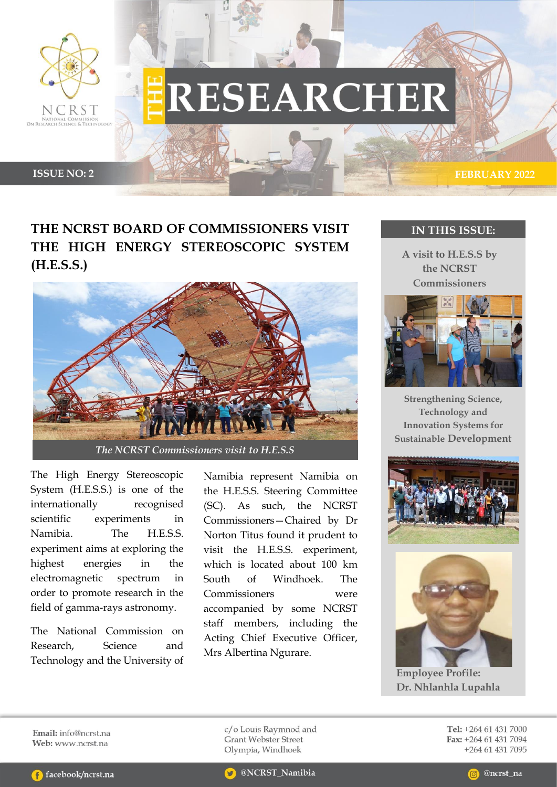

# **RESEARCHER**

**ISSUE NO: 2 FEBRUARY** 2022

## **THE NCRST BOARD OF COMMISSIONERS VISIT THE HIGH ENERGY STEREOSCOPIC SYSTEM (H.E.S.S.)**



The High Energy Stereoscopic System (H.E.S.S.) is one of the internationally recognised scientific experiments in Namibia. The H.E.S.S. experiment aims at exploring the highest energies in the electromagnetic spectrum in order to promote research in the field of gamma-rays astronomy.

The National Commission on Research, Science and Technology and the University of Namibia represent Namibia on the H.E.S.S. Steering Committee (SC). As such, the NCRST Commissioners—Chaired by Dr Norton Titus found it prudent to visit the H.E.S.S. experiment, which is located about 100 km South of Windhoek. The Commissioners were accompanied by some NCRST staff members, including the Acting Chief Executive Officer, Mrs Albertina Ngurare.

### **IN THIS ISSUE:**

**A visit to H.E.S.S by the NCRST Commissioners**



**Strengthening Science, Technology and Innovation Systems for Sustainable Development**





**Employee Profile: Dr. Nhlanhla Lupahla**

Email: info@ncrst.na Web: www.ncrst.na

c/o Louis Raymnod and **Grant Webster Street** Olympia, Windhoek

Tel: +264 61 431 7000 Fax: +264 61 431 7094 +264 61 431 7095

@NCRST\_Namibia

@ncrst\_na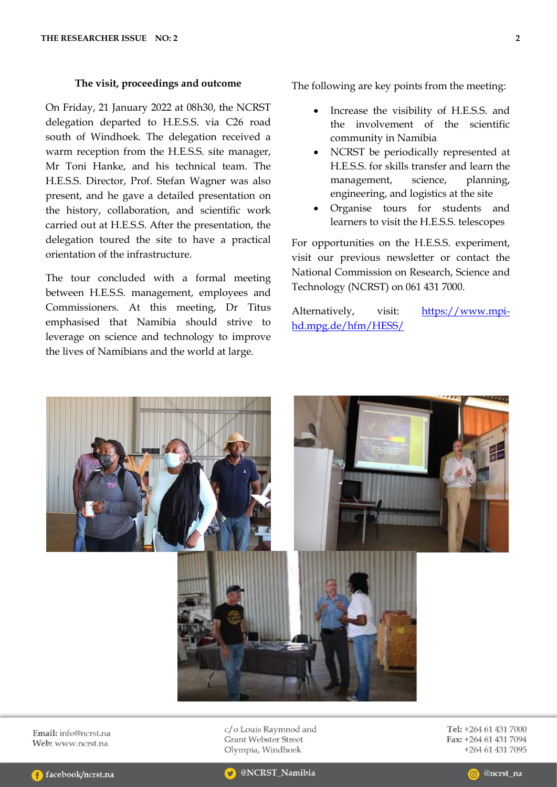#### **The visit, proceedings and outcome**

On Friday, 21 January 2022 at 08h30, the NCRST delegation departed to H.E.S.S. via C26 road south of Windhoek. The delegation received a warm reception from the H.E.S.S. site manager, Mr Toni Hanke, and his technical team. The H.E.S.S. Director, Prof. Stefan Wagner was also present, and he gave a detailed presentation on the history, collaboration, and scientific work carried out at H.E.S.S. After the presentation, the delegation toured the site to have a practical orientation of the infrastructure.

The tour concluded with a formal meeting between H.E.S.S. management, employees and Commissioners. At this meeting, Dr Titus emphasised that Namibia should strive to leverage on science and technology to improve the lives of Namibians and the world at large.

The following are key points from the meeting:

- Increase the visibility of H.E.S.S. and the involvement of the scientific community in Namibia
- NCRST be periodically represented at H.E.S.S. for skills transfer and learn the management, science, planning, engineering, and logistics at the site
- Organise tours for students and learners to visit the H.E.S.S. telescopes

For opportunities on the H.E.S.S. experiment, visit our previous newsletter or contact the National Commission on Research, Science and Technology (NCRST) on 061 431 7000.

Alternatively, visit: [https://www.mpi](https://www.mpi-hd.mpg.de/hfm/HESS/)[hd.mpg.de/hfm/HESS/](https://www.mpi-hd.mpg.de/hfm/HESS/)



Email: info@ncrst.na Web: www.ncrst.na

c/o Louis Raymnod and **Grant Webster Street** Olympia, Windhoek

Tel: +264 61 431 7000 Fax: +264 61 431 7094 +264 61 431 7095



@NCRST\_Namibia

@ncrst\_na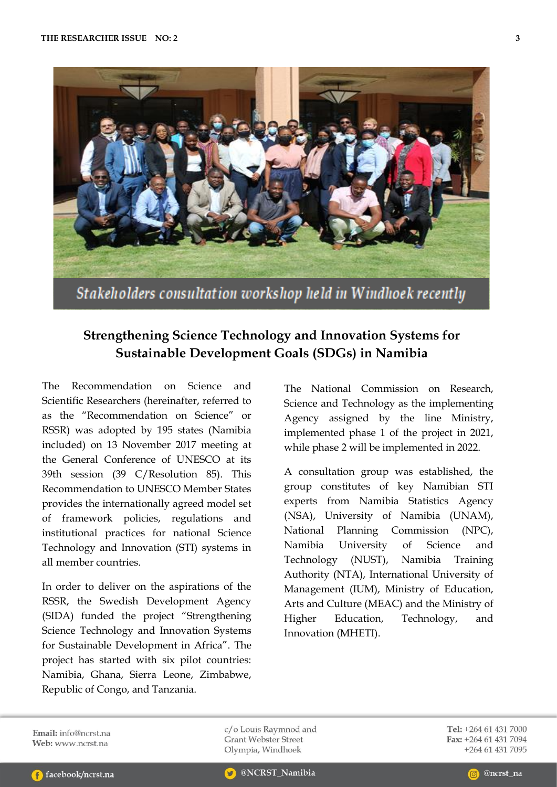

## **Strengthening Science Technology and Innovation Systems for Sustainable Development Goals (SDGs) in Namibia**

The Recommendation on Science and Scientific Researchers (hereinafter, referred to as the "Recommendation on Science" or RSSR) was adopted by 195 states (Namibia included) on 13 November 2017 meeting at the General Conference of UNESCO at its 39th session (39 C/Resolution 85). This Recommendation to UNESCO Member States provides the internationally agreed model set of framework policies, regulations and institutional practices for national Science Technology and Innovation (STI) systems in all member countries.

In order to deliver on the aspirations of the RSSR, the Swedish Development Agency (SIDA) funded the project "Strengthening Science Technology and Innovation Systems for Sustainable Development in Africa". The project has started with six pilot countries: Namibia, Ghana, Sierra Leone, Zimbabwe, Republic of Congo, and Tanzania.

The National Commission on Research, Science and Technology as the implementing Agency assigned by the line Ministry, implemented phase 1 of the project in 2021, while phase 2 will be implemented in 2022.

A consultation group was established, the group constitutes of key Namibian STI experts from Namibia Statistics Agency (NSA), University of Namibia (UNAM), National Planning Commission (NPC), Namibia University of Science and Technology (NUST), Namibia Training Authority (NTA), International University of Management (IUM), Ministry of Education, Arts and Culture (MEAC) and the Ministry of Higher Education, Technology, and Innovation (MHETI).

Email:  $info@ncrst$  na Web: www.ncrst.na

c/o Louis Raymnod and **Grant Webster Street** Olympia, Windhoek

Tel: +264 61 431 7000 Fax: +264 61 431 7094 +264 61 431 7095

@NCRST\_Namibia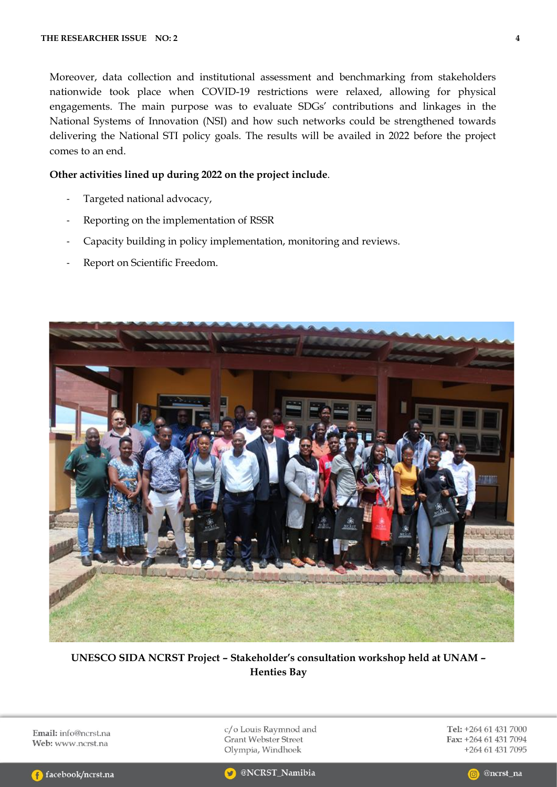Moreover, data collection and institutional assessment and benchmarking from stakeholders nationwide took place when COVID-19 restrictions were relaxed, allowing for physical engagements. The main purpose was to evaluate SDGs' contributions and linkages in the National Systems of Innovation (NSI) and how such networks could be strengthened towards delivering the National STI policy goals. The results will be availed in 2022 before the project comes to an end.

#### **Other activities lined up during 2022 on the project include**.

- Targeted national advocacy,
- Reporting on the implementation of RSSR
- Capacity building in policy implementation, monitoring and reviews.
- Report on Scientific Freedom.



**UNESCO SIDA NCRST Project – Stakeholder's consultation workshop held at UNAM – Henties Bay**

Email: info@ncrst.na Web: www.ncrst.na

c/o Louis Raymnod and Grant Webster Street Olympia, Windhoek

Tel: +264 61 431 7000 Fax: +264 61 431 7094 +264 61 431 7095



@NCRST\_Namibia

@ncrst\_na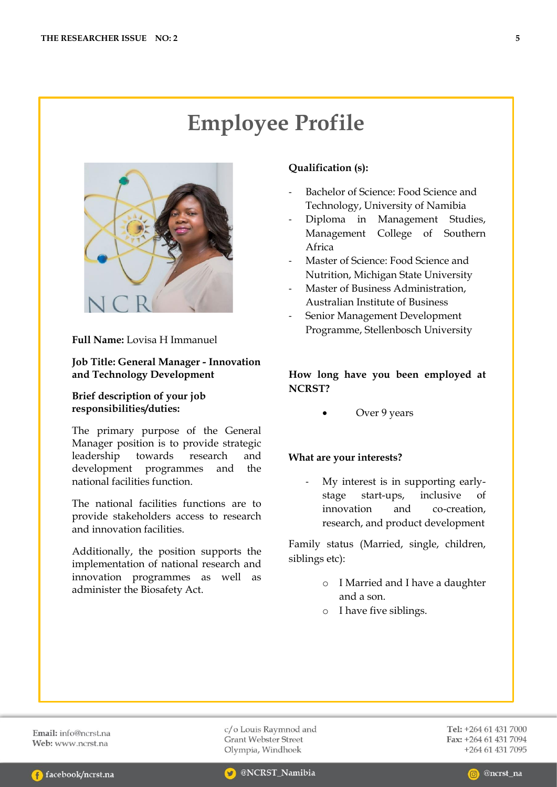# **Employee Profile**



**Full Name:** Lovisa H Immanuel

**Job Title: General Manager - Innovation and Technology Development**

#### **Brief description of your job responsibilities/duties:**

The primary purpose of the General Manager position is to provide strategic leadership towards research and development programmes and the national facilities function.

The national facilities functions are to provide stakeholders access to research and innovation facilities.

Additionally, the position supports the implementation of national research and innovation programmes as well as administer the Biosafety Act.

#### **Qualification (s):**

- Bachelor of Science: Food Science and Technology, University of Namibia
- Diploma in Management Studies, Management College of Southern Africa
- Master of Science: Food Science and Nutrition, Michigan State University
- Master of Business Administration, Australian Institute of Business
- Senior Management Development Programme, Stellenbosch University

#### **How long have you been employed at NCRST?**

Over 9 years

#### **What are your interests?**

My interest is in supporting earlystage start-ups, inclusive of innovation and co-creation, research, and product development

Family status (Married, single, children, siblings etc):

- o I Married and I have a daughter and a son.
- o I have five siblings.

Email: info@ncrst.na Web: www.ncrst.na

c/o Louis Raymnod and **Grant Webster Street** Olympia, Windhoek

Tel: +264 61 431 7000 Fax: +264 61 431 7094 +264 61 431 7095

@ncrst na